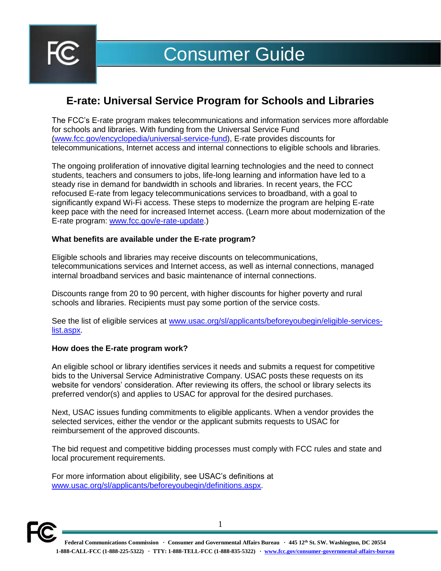

# Consumer Guide

# **E-rate: Universal Service Program for Schools and Libraries**

The FCC's E-rate program makes telecommunications and information services more affordable for schools and libraries. With funding from the Universal Service Fund [\(www.fcc.gov/encyclopedia/universal-service-fund\)](https://www.fcc.gov/encyclopedia/universal-service-fund), E-rate provides discounts for telecommunications, Internet access and internal connections to eligible schools and libraries.

The ongoing proliferation of innovative digital learning technologies and the need to connect students, teachers and consumers to jobs, life-long learning and information have led to a steady rise in demand for bandwidth in schools and libraries. In recent years, the FCC refocused E-rate from legacy telecommunications services to broadband, with a goal to significantly expand Wi-Fi access. These steps to modernize the program are helping E-rate keep pace with the need for increased Internet access. (Learn more about modernization of the E-rate program: [www.fcc.gov/e-rate-update.](https://www.fcc.gov/e-rate-update))

# **What benefits are available under the E-rate program?**

Eligible schools and libraries may receive discounts on telecommunications, telecommunications services and Internet access, as well as internal connections, managed internal broadband services and basic maintenance of internal connections.

Discounts range from 20 to 90 percent, with higher discounts for higher poverty and rural schools and libraries. Recipients must pay some portion of the service costs.

See the list of eligible services at [www.usac.org/sl/applicants/beforeyoubegin/eligible-services](http://www.usac.org/sl/applicants/beforeyoubegin/eligible-services-list.aspx)[list.aspx.](http://www.usac.org/sl/applicants/beforeyoubegin/eligible-services-list.aspx)

# **How does the E-rate program work?**

An eligible school or library identifies services it needs and submits a request for competitive bids to the Universal Service Administrative Company. USAC posts these requests on its website for vendors' consideration. After reviewing its offers, the school or library selects its preferred vendor(s) and applies to USAC for approval for the desired purchases.

Next, USAC issues funding commitments to eligible applicants. When a vendor provides the selected services, either the vendor or the applicant submits requests to USAC for reimbursement of the approved discounts.

The bid request and competitive bidding processes must comply with FCC rules and state and local procurement requirements.

For more information about eligibility, see USAC's definitions at [www.usac.org/sl/applicants/beforeyoubegin/definitions.aspx.](http://www.usac.org/sl/applicants/beforeyoubegin/definitions.aspx)